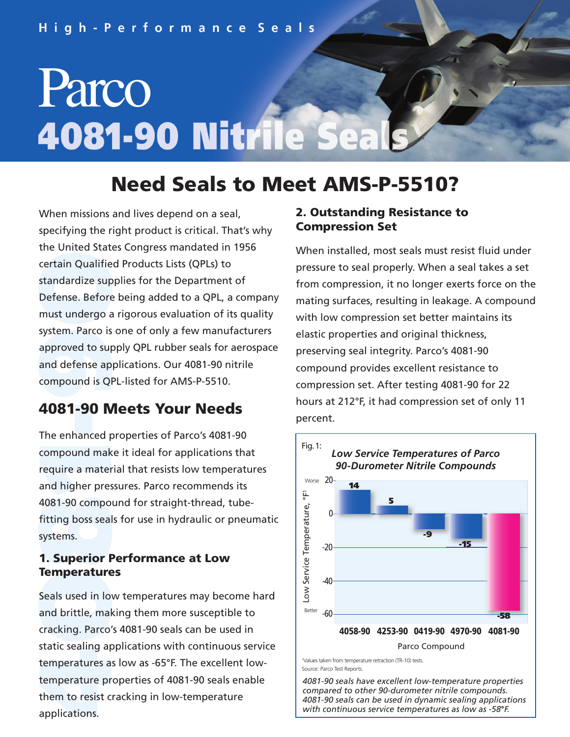# Parco 4081-90 Nitrile Se

### **Need Seals to Meet AMS-P-5510?**

system. Parco is<br>approved to su<sub>p</sub><br>and defense ap<br>compound is QI certain Qualifie<br>standardize sup<br>Defense. Before<br>must undergo a system. Parco is one of only a few manufacturers When missions and lives depend on a seal, specifying the right product is critical. That's why the United States Congress mandated in 1956 certain Qualified Products Lists (QPLs) to standardize supplies for the Department of Defense. Before being added to a QPL, a company must undergo a rigorous evaluation of its quality approved to supply QPL rubber seals for aerospace and defense applications. Our 4081-90 nitrile compound is QPL-listed for AMS-P-5510.

## **-4081-90 Meets Your Needs**

4081-90 compo<br>fitting boss seal<br>systems.<br>**1. Superior F** compound make it ideal for applications that<br>**11 require a material that resists low temperat**<br>11 and higher pressures. Parco recommends its The enhanced properties of Parco's 4081-90 compound make it ideal for applications that require a material that resists low temperatures 4081-90 compound for straight-thread, tubefitting boss seals for use in hydraulic or pneumatic systems.

#### **1. Superior Performance at Low Temperatures**

**1999**<br> **1999**<br> **1999**<br> **1999**<br> **1999**<br> **1999**<br> **1999**<br> **1999**<br> **1999**<br> **1999**<br> **1999**<br> **1999**<br> **1999**<br> **1999 1emperature**<br>Seals used in lot<br>and brittle, mal<br>cracking. Parco static sealing applications with continuous service Seals used in low temperatures may become hard and brittle, making them more susceptible to cracking. Parco's 4081-90 seals can be used in temperatures as low as -65°F. The excellent lowtemperature properties of 4081-90 seals enable them to resist cracking in low-temperature applications.

#### **2. Outstanding Resistance to Compression Set**

When installed, most seals must resist fluid under pressure to seal properly. When a seal takes a set from compression, it no longer exerts force on the mating surfaces, resulting in leakage. A compound with low compression set better maintains its elastic properties and original thickness, preserving seal integrity. Parco's 4081-90 compound provides excellent resistance to compression set. After testing 4081-90 for 22 hours at 212°F, it had compression set of only 11 percent.



1Values taken from temperature retraction (TR-10) tests. Source: Parco Test Reports.

*4081-90 seals have excellent low-temperature properties compared to other 90-durometer nitrile compounds. 4081-90 seals can be used in dynamic sealing applications with continuous service temperatures as low as -58***°***F.*